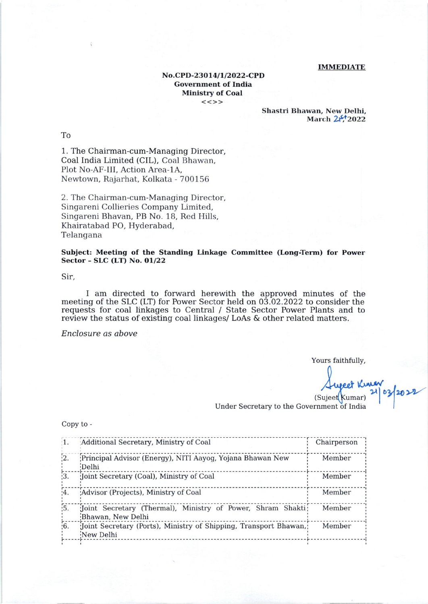## **IMMEDIATE**

## No.CPD-23014/1/2022-CPD **Government of India Ministry of Coal**  $<<$ >>

Shastri Bhawan, New Delhi, March 2<sup>4</sup>/2022

To

1. The Chairman-cum-Managing Director, Coal India Limited (CIL), Coal Bhawan, Plot No-AF-III, Action Area-1A, Newtown, Rajarhat, Kolkata - 700156

2. The Chairman-cum-Managing Director, Singareni Collieries Company Limited, Singareni Bhavan, PB No. 18, Red Hills, Khairatabad PO, Hyderabad, Telangana

Subject: Meeting of the Standing Linkage Committee (Long-Term) for Power Sector - SLC (LT) No. 01/22

Sir,

I am directed to forward herewith the approved minutes of the meeting of the SLC (LT) for Power Sector held on  $03.02.2022$  to consider the requests for coal linkages to Central / State Sector Power Plants and to<br>review the status of existing coal linkages/ LoAs & other related matters.

Enclosure as above

Yours faithfully,

eet Kuner<br>Kumar) 21 03/2022 (Sujeet Kumar)

Under Secretary to the Government of India

Copy to -

| $\mathbf{1}$ .   | Additional Secretary, Ministry of Coal                                           | Chairperson |
|------------------|----------------------------------------------------------------------------------|-------------|
| $\frac{1}{2}$ .  | Principal Advisor (Energy), NITI Aayog, Yojana Bhawan New<br>Delhi               | Member      |
| $\frac{1}{3}$ .  | Joint Secretary (Coal), Ministry of Coal                                         | Member      |
| $\left[4\right]$ | Advisor (Projects), Ministry of Coal                                             | Member      |
| $\overline{5}$ . | Joint Secretary (Thermal), Ministry of Power, Shram Shakti;<br>Bhawan, New Delhi | Member      |
| $\overline{6}$ . | Joint Secretary (Ports), Ministry of Shipping, Transport Bhawan,<br>New Delhi    | Member      |
|                  |                                                                                  |             |